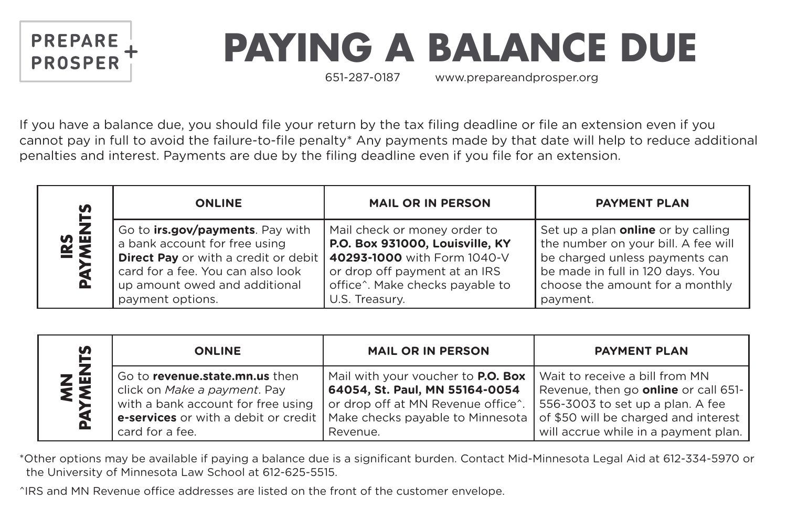

## **PAYING A BALANCE DUE**

651-287-0187 www.prepareandprosper.org

If you have a balance due, you should file your return by the tax filing deadline or file an extension even if you cannot pay in full to avoid the failure-to-file penalty\* Any payments made by that date will help to reduce additional penalties and interest. Payments are due by the filing deadline even if you file for an extension.

| S<br><b>IRS<br/>YMEN'</b><br>o. | <b>ONLINE</b>                                                                                                                                                                                                      | <b>MAIL OR IN PERSON</b>                                                                                                                                                             | <b>PAYMENT PLAN</b>                                                                                                                                                                                   |
|---------------------------------|--------------------------------------------------------------------------------------------------------------------------------------------------------------------------------------------------------------------|--------------------------------------------------------------------------------------------------------------------------------------------------------------------------------------|-------------------------------------------------------------------------------------------------------------------------------------------------------------------------------------------------------|
|                                 | Go to <b>irs.gov/payments</b> . Pay with<br>a bank account for free using<br><b>Direct Pay</b> or with a credit or debit<br>card for a fee. You can also look<br>up amount owed and additional<br>payment options. | Mail check or money order to<br>P.O. Box 931000, Louisville, KY<br>40293-1000 with Form 1040-V<br>or drop off payment at an IRS<br>office^. Make checks payable to<br>U.S. Treasury. | Set up a plan <b>online</b> or by calling<br>the number on your bill. A fee will<br>be charged unless payments can<br>be made in full in 120 days. You<br>choose the amount for a monthly<br>payment. |

| S               | <b>ONLINE</b>                                                                                                                                                   | <b>MAIL OR IN PERSON</b>                                                                                                                                                         | <b>PAYMENT PLAN</b>                                                                                                                                                                               |
|-----------------|-----------------------------------------------------------------------------------------------------------------------------------------------------------------|----------------------------------------------------------------------------------------------------------------------------------------------------------------------------------|---------------------------------------------------------------------------------------------------------------------------------------------------------------------------------------------------|
| <b>NEW</b><br>മ | Go to revenue.state.mn.us then<br>click on Make a payment. Pay<br>with a bank account for free using<br>e-services or with a debit or credit<br>card for a fee. | Mail with your voucher to <b>P.O. Box</b><br>64054, St. Paul, MN 55164-0054<br>or drop off at MN Revenue office <sup>^</sup> .<br>Make checks payable to Minnesota  <br>Revenue. | Wait to receive a bill from MN<br>Revenue, then go <b>online</b> or call 651-<br>556-3003 to set up a plan. A fee<br>of \$50 will be charged and interest<br>will accrue while in a payment plan. |

\*Other options may be available if paying a balance due is a significant burden. Contact Mid-Minnesota Legal Aid at 612-334-5970 or the University of Minnesota Law School at 612-625-5515.

^IRS and MN Revenue office addresses are listed on the front of the customer envelope.